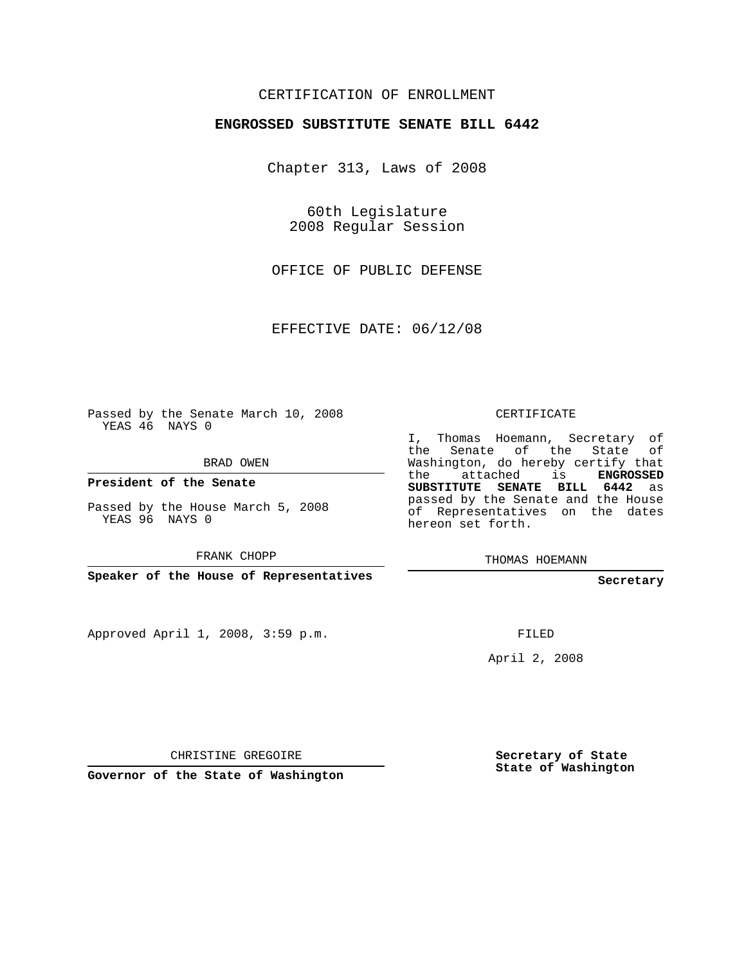## CERTIFICATION OF ENROLLMENT

#### **ENGROSSED SUBSTITUTE SENATE BILL 6442**

Chapter 313, Laws of 2008

60th Legislature 2008 Regular Session

OFFICE OF PUBLIC DEFENSE

EFFECTIVE DATE: 06/12/08

Passed by the Senate March 10, 2008 YEAS 46 NAYS 0

BRAD OWEN

**President of the Senate**

Passed by the House March 5, 2008 YEAS 96 NAYS 0

FRANK CHOPP

**Speaker of the House of Representatives**

Approved April 1, 2008, 3:59 p.m.

CERTIFICATE

I, Thomas Hoemann, Secretary of the Senate of the State of Washington, do hereby certify that the attached is **ENGROSSED SUBSTITUTE SENATE BILL 6442** as passed by the Senate and the House of Representatives on the dates hereon set forth.

THOMAS HOEMANN

**Secretary**

FILED

April 2, 2008

CHRISTINE GREGOIRE

**Governor of the State of Washington**

**Secretary of State State of Washington**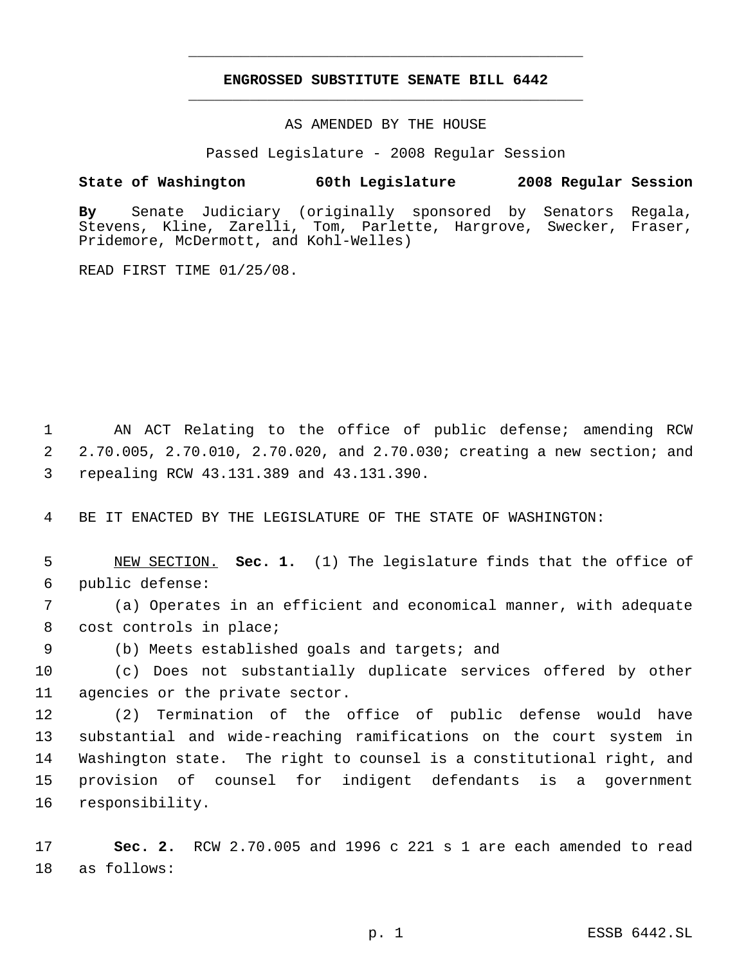# **ENGROSSED SUBSTITUTE SENATE BILL 6442** \_\_\_\_\_\_\_\_\_\_\_\_\_\_\_\_\_\_\_\_\_\_\_\_\_\_\_\_\_\_\_\_\_\_\_\_\_\_\_\_\_\_\_\_\_

\_\_\_\_\_\_\_\_\_\_\_\_\_\_\_\_\_\_\_\_\_\_\_\_\_\_\_\_\_\_\_\_\_\_\_\_\_\_\_\_\_\_\_\_\_

AS AMENDED BY THE HOUSE

Passed Legislature - 2008 Regular Session

### **State of Washington 60th Legislature 2008 Regular Session**

**By** Senate Judiciary (originally sponsored by Senators Regala, Stevens, Kline, Zarelli, Tom, Parlette, Hargrove, Swecker, Fraser, Pridemore, McDermott, and Kohl-Welles)

READ FIRST TIME 01/25/08.

 AN ACT Relating to the office of public defense; amending RCW 2.70.005, 2.70.010, 2.70.020, and 2.70.030; creating a new section; and repealing RCW 43.131.389 and 43.131.390.

BE IT ENACTED BY THE LEGISLATURE OF THE STATE OF WASHINGTON:

 NEW SECTION. **Sec. 1.** (1) The legislature finds that the office of public defense:

 (a) Operates in an efficient and economical manner, with adequate cost controls in place;

(b) Meets established goals and targets; and

 (c) Does not substantially duplicate services offered by other agencies or the private sector.

 (2) Termination of the office of public defense would have substantial and wide-reaching ramifications on the court system in Washington state. The right to counsel is a constitutional right, and provision of counsel for indigent defendants is a government responsibility.

 **Sec. 2.** RCW 2.70.005 and 1996 c 221 s 1 are each amended to read as follows: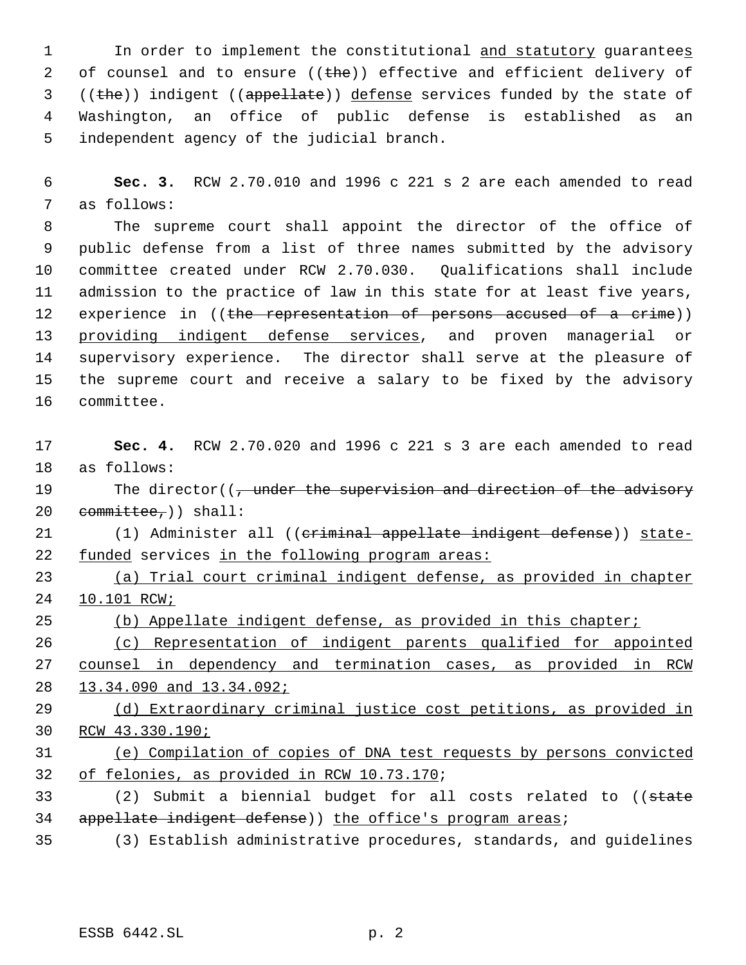1 In order to implement the constitutional and statutory guarantees 2 of counsel and to ensure  $((the)^2)$  effective and efficient delivery of ((the)) indigent ((appellate)) defense services funded by the state of Washington, an office of public defense is established as an independent agency of the judicial branch.

 **Sec. 3.** RCW 2.70.010 and 1996 c 221 s 2 are each amended to read as follows:

 The supreme court shall appoint the director of the office of public defense from a list of three names submitted by the advisory committee created under RCW 2.70.030. Qualifications shall include admission to the practice of law in this state for at least five years, 12 experience in ((the representation of persons accused of a crime)) providing indigent defense services, and proven managerial or supervisory experience. The director shall serve at the pleasure of the supreme court and receive a salary to be fixed by the advisory committee.

 **Sec. 4.** RCW 2.70.020 and 1996 c 221 s 3 are each amended to read as follows:

19 The director((, under the supervision and direction of the advisory 20  $committer$ ; ) shall:

21 (1) Administer all ((eriminal appellate indigent defense)) state-22 funded services in the following program areas:

 (a) Trial court criminal indigent defense, as provided in chapter 10.101 RCW;

25 (b) Appellate indigent defense, as provided in this chapter;

 (c) Representation of indigent parents qualified for appointed counsel in dependency and termination cases, as provided in RCW 13.34.090 and 13.34.092;

 (d) Extraordinary criminal justice cost petitions, as provided in RCW 43.330.190;

 (e) Compilation of copies of DNA test requests by persons convicted of felonies, as provided in RCW 10.73.170;

33 (2) Submit a biennial budget for all costs related to ((state 34 appellate indigent defense)) the office's program areas;

(3) Establish administrative procedures, standards, and guidelines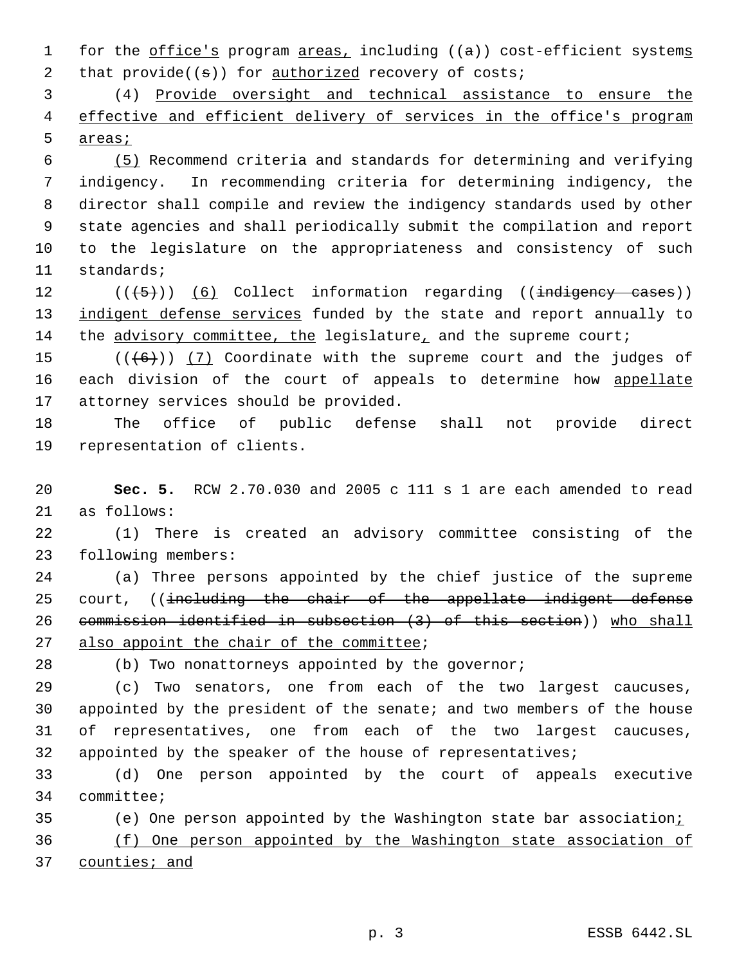1 for the office's program areas, including ((a)) cost-efficient systems 2 that  $\text{provide}((s))$  for  $\text{authorizontal}$  recovery of costs;

 (4) Provide oversight and technical assistance to ensure the 4 effective and efficient delivery of services in the office's program areas;

 (5) Recommend criteria and standards for determining and verifying indigency. In recommending criteria for determining indigency, the director shall compile and review the indigency standards used by other state agencies and shall periodically submit the compilation and report to the legislature on the appropriateness and consistency of such standards;

12 (((5)) (6) Collect information regarding ((indigency cases)) 13 indigent defense services funded by the state and report annually to the advisory committee, the legislature, and the supreme court;

15  $((+6))$   $(7)$  Coordinate with the supreme court and the judges of 16 each division of the court of appeals to determine how appellate attorney services should be provided.

 The office of public defense shall not provide direct representation of clients.

 **Sec. 5.** RCW 2.70.030 and 2005 c 111 s 1 are each amended to read as follows:

 (1) There is created an advisory committee consisting of the following members:

 (a) Three persons appointed by the chief justice of the supreme 25 court, ((including the chair of the appellate indigent defense commission identified in subsection (3) of this section)) who shall 27 also appoint the chair of the committee;

(b) Two nonattorneys appointed by the governor;

 (c) Two senators, one from each of the two largest caucuses, appointed by the president of the senate; and two members of the house of representatives, one from each of the two largest caucuses, 32 appointed by the speaker of the house of representatives;

 (d) One person appointed by the court of appeals executive committee;

 (e) One person appointed by the Washington state bar association; (f) One person appointed by the Washington state association of 37 counties; and